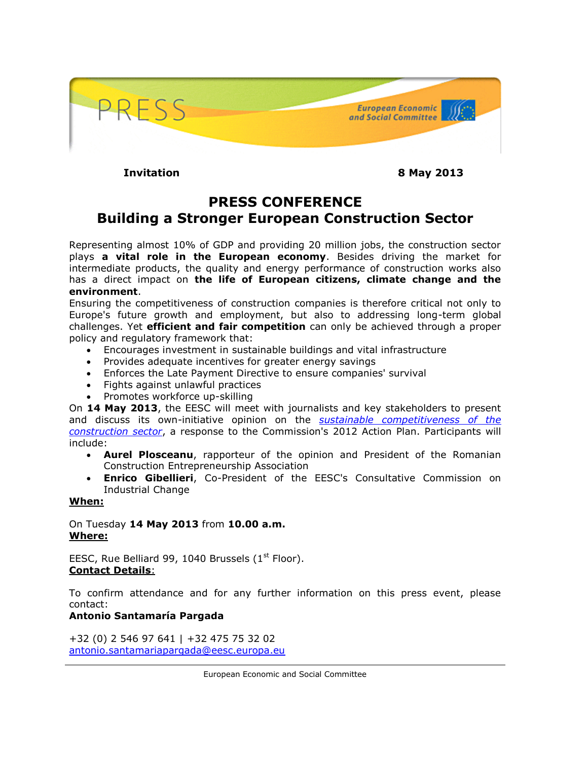

**Invitation 8 May 2013**

## **PRESS CONFERENCE Building a Stronger European Construction Sector**

Representing almost 10% of GDP and providing 20 million jobs, the construction sector plays **a vital role in the European economy**. Besides driving the market for intermediate products, the quality and energy performance of construction works also has a direct impact on **the life of European citizens, climate change and the environment**.

Ensuring the competitiveness of construction companies is therefore critical not only to Europe's future growth and employment, but also to addressing long-term global challenges. Yet **efficient and fair competition** can only be achieved through a proper policy and regulatory framework that:

- Encourages investment in sustainable buildings and vital infrastructure
- Provides adequate incentives for greater energy savings
- Enforces the Late Payment Directive to ensure companies' survival
- Fights against unlawful practices
- Promotes workforce up-skilling

On **14 May 2013**, the EESC will meet with journalists and key stakeholders to present and discuss its own-initiative opinion on the *[sustainable competitiveness of the](http://www.eesc.europa.eu/?i=portal.en.ccmi-opinions.25196)  [construction sector](http://www.eesc.europa.eu/?i=portal.en.ccmi-opinions.25196)*, a response to the Commission's 2012 Action Plan. Participants will include:

- **Aurel Plosceanu**, rapporteur of the opinion and President of the Romanian Construction Entrepreneurship Association
- **Enrico Gibellieri**, Co-President of the EESC's Consultative Commission on Industrial Change

## **When:**

On Tuesday **14 May 2013** from **10.00 a.m. Where:**

EESC, Rue Belliard 99, 1040 Brussels  $(1<sup>st</sup>$  Floor). **Contact Details**:

To confirm attendance and for any further information on this press event, please contact:

## **Antonio Santamaría Pargada**

+32 (0) 2 546 97 641 | +32 475 75 32 02 [antonio.santamariapargada@eesc.europa.eu](mailto:antonio.santamariapargada@eesc.europa.eu)